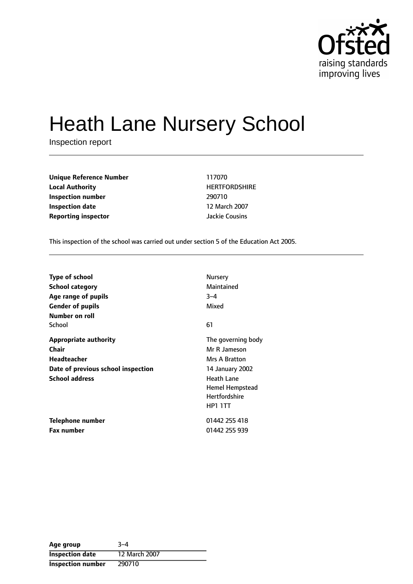

# Heath Lane Nursery School

Inspection report

**Unique Reference Number** 117070 **Local Authority HERTFORDSHIRE Inspection number** 290710 **Inspection date** 12 March 2007 **Reporting inspector and a structure of the United Structure Cousins** 

This inspection of the school was carried out under section 5 of the Education Act 2005.

| <b>Type of school</b>              | Nursery              |
|------------------------------------|----------------------|
| <b>School category</b>             | Maintained           |
| Age range of pupils                | $3 - 4$              |
| <b>Gender of pupils</b>            | Mixed                |
| Number on roll                     |                      |
| School                             | 61                   |
| <b>Appropriate authority</b>       | The governing body   |
| Chair                              | Mr R Jameson         |
| Headteacher                        | Mrs A Bratton        |
| Date of previous school inspection | 14 January 2002      |
| <b>School address</b>              | <b>Heath Lane</b>    |
|                                    | Hemel Hempstead      |
|                                    | <b>Hertfordshire</b> |
|                                    | <b>HP1 1TT</b>       |
| Telephone number                   | 01442 255 418        |
| <b>Fax number</b>                  | 01442 255 939        |

| Age group                | $-3-4$        |
|--------------------------|---------------|
| <b>Inspection date</b>   | 12 March 2007 |
| <b>Inspection number</b> | 290710        |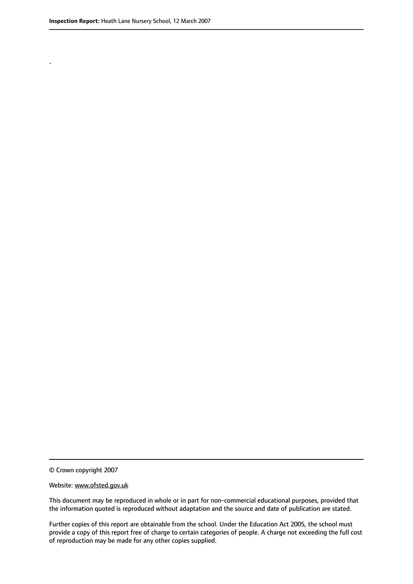.

This document may be reproduced in whole or in part for non-commercial educational purposes, provided that the information quoted is reproduced without adaptation and the source and date of publication are stated.

Further copies of this report are obtainable from the school. Under the Education Act 2005, the school must provide a copy of this report free of charge to certain categories of people. A charge not exceeding the full cost of reproduction may be made for any other copies supplied.

<sup>©</sup> Crown copyright 2007

Website: www.ofsted.gov.uk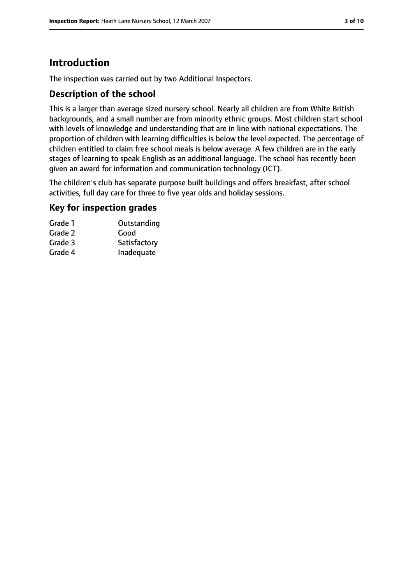# **Introduction**

The inspection was carried out by two Additional Inspectors.

## **Description of the school**

This is a larger than average sized nursery school. Nearly all children are from White British backgrounds, and a small number are from minority ethnic groups. Most children start school with levels of knowledge and understanding that are in line with national expectations. The proportion of children with learning difficulties is below the level expected. The percentage of children entitled to claim free school meals is below average. A few children are in the early stages of learning to speak English as an additional language. The school has recently been given an award for information and communication technology (ICT).

The children's club has separate purpose built buildings and offers breakfast, after school activities, full day care for three to five year olds and holiday sessions.

## **Key for inspection grades**

| Outstanding  |
|--------------|
| Good         |
| Satisfactory |
| Inadequate   |
|              |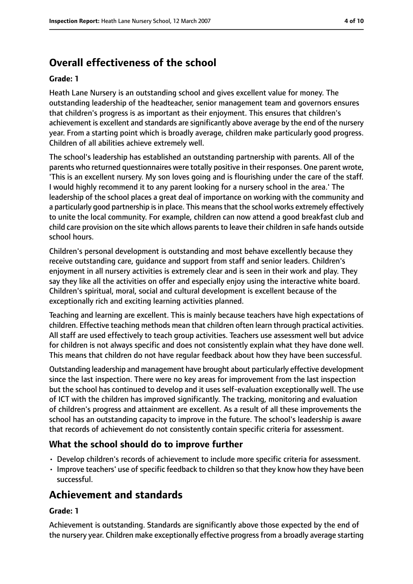# **Overall effectiveness of the school**

#### **Grade: 1**

Heath Lane Nursery is an outstanding school and gives excellent value for money. The outstanding leadership of the headteacher, senior management team and governors ensures that children's progress is as important as their enjoyment. This ensures that children's achievement is excellent and standards are significantly above average by the end of the nursery year. From a starting point which is broadly average, children make particularly good progress. Children of all abilities achieve extremely well.

The school's leadership has established an outstanding partnership with parents. All of the parents who returned questionnaires were totally positive in their responses. One parent wrote, 'This is an excellent nursery. My son loves going and is flourishing under the care of the staff. I would highly recommend it to any parent looking for a nursery school in the area.' The leadership of the school places a great deal of importance on working with the community and a particularly good partnership is in place. This means that the school works extremely effectively to unite the local community. For example, children can now attend a good breakfast club and child care provision on the site which allows parents to leave their children in safe hands outside school hours.

Children's personal development is outstanding and most behave excellently because they receive outstanding care, guidance and support from staff and senior leaders. Children's enjoyment in all nursery activities is extremely clear and is seen in their work and play. They say they like all the activities on offer and especially enjoy using the interactive white board. Children's spiritual, moral, social and cultural development is excellent because of the exceptionally rich and exciting learning activities planned.

Teaching and learning are excellent. This is mainly because teachers have high expectations of children. Effective teaching methods mean that children often learn through practical activities. All staff are used effectively to teach group activities. Teachers use assessment well but advice for children is not always specific and does not consistently explain what they have done well. This means that children do not have regular feedback about how they have been successful.

Outstanding leadership and management have brought about particularly effective development since the last inspection. There were no key areas for improvement from the last inspection but the school has continued to develop and it uses self-evaluation exceptionally well. The use of ICT with the children has improved significantly. The tracking, monitoring and evaluation of children's progress and attainment are excellent. As a result of all these improvements the school has an outstanding capacity to improve in the future. The school's leadership is aware that records of achievement do not consistently contain specific criteria for assessment.

## **What the school should do to improve further**

- Develop children's records of achievement to include more specific criteria for assessment.
- Improve teachers' use of specific feedback to children so that they know how they have been successful.

# **Achievement and standards**

## **Grade: 1**

Achievement is outstanding. Standards are significantly above those expected by the end of the nursery year. Children make exceptionally effective progress from a broadly average starting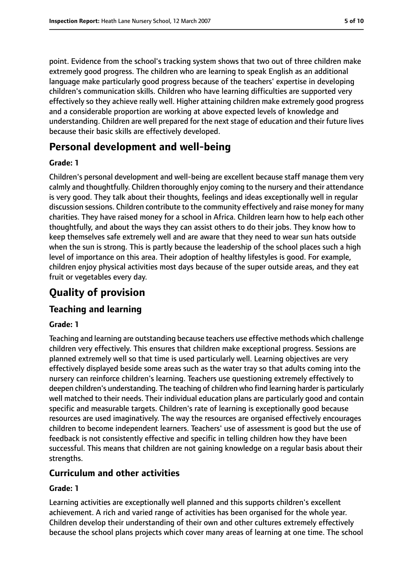point. Evidence from the school's tracking system shows that two out of three children make extremely good progress. The children who are learning to speak English as an additional language make particularly good progress because of the teachers' expertise in developing children's communication skills. Children who have learning difficulties are supported very effectively so they achieve really well. Higher attaining children make extremely good progress and a considerable proportion are working at above expected levels of knowledge and understanding. Children are well prepared for the next stage of education and their future lives because their basic skills are effectively developed.

# **Personal development and well-being**

#### **Grade: 1**

Children's personal development and well-being are excellent because staff manage them very calmly and thoughtfully. Children thoroughly enjoy coming to the nursery and their attendance is very good. They talk about their thoughts, feelings and ideas exceptionally well in regular discussion sessions. Children contribute to the community effectively and raise money for many charities. They have raised money for a school in Africa. Children learn how to help each other thoughtfully, and about the ways they can assist others to do their jobs. They know how to keep themselves safe extremely well and are aware that they need to wear sun hats outside when the sun is strong. This is partly because the leadership of the school places such a high level of importance on this area. Their adoption of healthy lifestyles is good. For example, children enjoy physical activities most days because of the super outside areas, and they eat fruit or vegetables every day.

# **Quality of provision**

## **Teaching and learning**

#### **Grade: 1**

Teaching and learning are outstanding because teachers use effective methods which challenge children very effectively. This ensures that children make exceptional progress. Sessions are planned extremely well so that time is used particularly well. Learning objectives are very effectively displayed beside some areas such as the water tray so that adults coming into the nursery can reinforce children's learning. Teachers use questioning extremely effectively to deepen children's understanding. The teaching of children who find learning harder is particularly well matched to their needs. Their individual education plans are particularly good and contain specific and measurable targets. Children's rate of learning is exceptionally good because resources are used imaginatively. The way the resources are organised effectively encourages children to become independent learners. Teachers' use of assessment is good but the use of feedback is not consistently effective and specific in telling children how they have been successful. This means that children are not gaining knowledge on a regular basis about their strengths.

## **Curriculum and other activities**

#### **Grade: 1**

Learning activities are exceptionally well planned and this supports children's excellent achievement. A rich and varied range of activities has been organised for the whole year. Children develop their understanding of their own and other cultures extremely effectively because the school plans projects which cover many areas of learning at one time. The school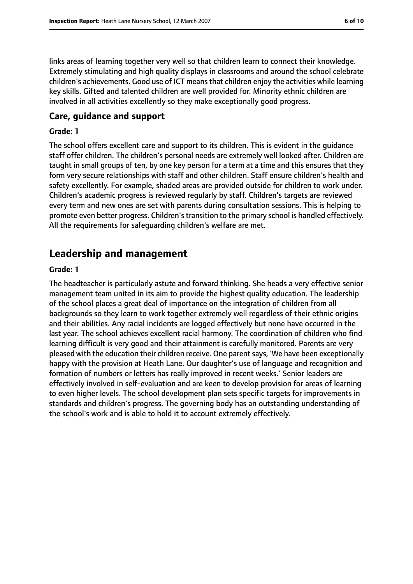links areas of learning together very well so that children learn to connect their knowledge. Extremely stimulating and high quality displays in classrooms and around the school celebrate children's achievements. Good use of ICT means that children enjoy the activities while learning key skills. Gifted and talented children are well provided for. Minority ethnic children are involved in all activities excellently so they make exceptionally good progress.

#### **Care, guidance and support**

#### **Grade: 1**

The school offers excellent care and support to its children. This is evident in the guidance staff offer children. The children's personal needs are extremely well looked after. Children are taught in small groups of ten, by one key person for a term at a time and this ensures that they form very secure relationships with staff and other children. Staff ensure children's health and safety excellently. For example, shaded areas are provided outside for children to work under. Children's academic progress is reviewed regularly by staff. Children's targets are reviewed every term and new ones are set with parents during consultation sessions. This is helping to promote even better progress. Children's transition to the primary school is handled effectively. All the requirements for safeguarding children's welfare are met.

# **Leadership and management**

#### **Grade: 1**

The headteacher is particularly astute and forward thinking. She heads a very effective senior management team united in its aim to provide the highest quality education. The leadership of the school places a great deal of importance on the integration of children from all backgrounds so they learn to work together extremely well regardless of their ethnic origins and their abilities. Any racial incidents are logged effectively but none have occurred in the last year. The school achieves excellent racial harmony. The coordination of children who find learning difficult is very good and their attainment is carefully monitored. Parents are very pleased with the education their children receive. One parent says, 'We have been exceptionally happy with the provision at Heath Lane. Our daughter's use of language and recognition and formation of numbers or letters has really improved in recent weeks.' Senior leaders are effectively involved in self-evaluation and are keen to develop provision for areas of learning to even higher levels. The school development plan sets specific targets for improvements in standards and children's progress. The governing body has an outstanding understanding of the school's work and is able to hold it to account extremely effectively.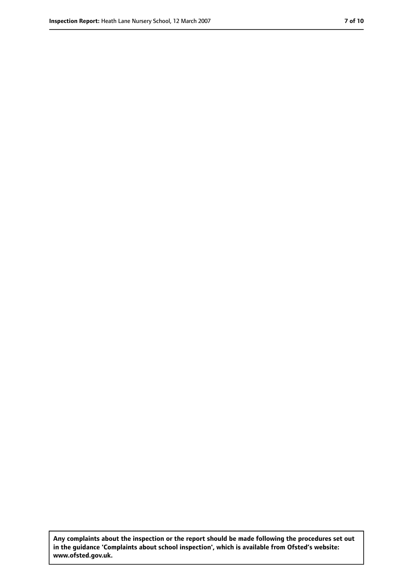**Any complaints about the inspection or the report should be made following the procedures set out in the guidance 'Complaints about school inspection', which is available from Ofsted's website: www.ofsted.gov.uk.**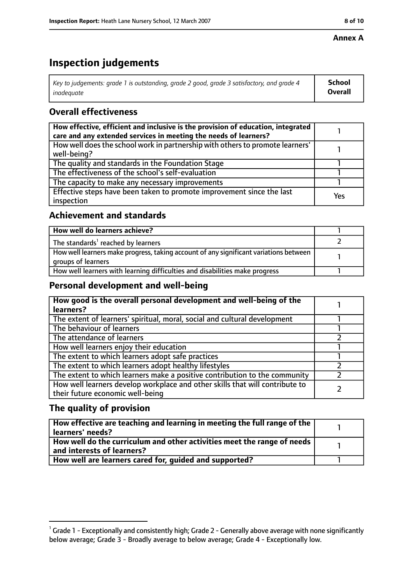## **Annex A**

# **Inspection judgements**

| Key to judgements: grade 1 is outstanding, grade 2 good, grade 3 satisfactory, and grade 4 $\,$ | <b>School</b>  |
|-------------------------------------------------------------------------------------------------|----------------|
| inadequate                                                                                      | <b>Overall</b> |

# **Overall effectiveness**

| How effective, efficient and inclusive is the provision of education, integrated<br>care and any extended services in meeting the needs of learners? |     |
|------------------------------------------------------------------------------------------------------------------------------------------------------|-----|
| How well does the school work in partnership with others to promote learners'<br>well-being?                                                         |     |
| The quality and standards in the Foundation Stage                                                                                                    |     |
| The effectiveness of the school's self-evaluation                                                                                                    |     |
| The capacity to make any necessary improvements                                                                                                      |     |
| Effective steps have been taken to promote improvement since the last<br>inspection                                                                  | Yes |

## **Achievement and standards**

| How well do learners achieve?                                                                               |  |
|-------------------------------------------------------------------------------------------------------------|--|
| The standards <sup>1</sup> reached by learners                                                              |  |
| How well learners make progress, taking account of any significant variations between<br>groups of learners |  |
| How well learners with learning difficulties and disabilities make progress                                 |  |

## **Personal development and well-being**

| How good is the overall personal development and well-being of the<br>learners?                                  |  |
|------------------------------------------------------------------------------------------------------------------|--|
| The extent of learners' spiritual, moral, social and cultural development                                        |  |
| The behaviour of learners                                                                                        |  |
| The attendance of learners                                                                                       |  |
| How well learners enjoy their education                                                                          |  |
| The extent to which learners adopt safe practices                                                                |  |
| The extent to which learners adopt healthy lifestyles                                                            |  |
| The extent to which learners make a positive contribution to the community                                       |  |
| How well learners develop workplace and other skills that will contribute to<br>their future economic well-being |  |

## **The quality of provision**

| $\mid$ How effective are teaching and learning in meeting the full range of the $\mid$<br>  learners' needs?               |  |
|----------------------------------------------------------------------------------------------------------------------------|--|
| $\mid$ How well do the curriculum and other activities meet the range of needs $\mid$<br>$\mid$ and interests of learners? |  |
| How well are learners cared for, quided and supported?                                                                     |  |

 $^1$  Grade 1 - Exceptionally and consistently high; Grade 2 - Generally above average with none significantly below average; Grade 3 - Broadly average to below average; Grade 4 - Exceptionally low.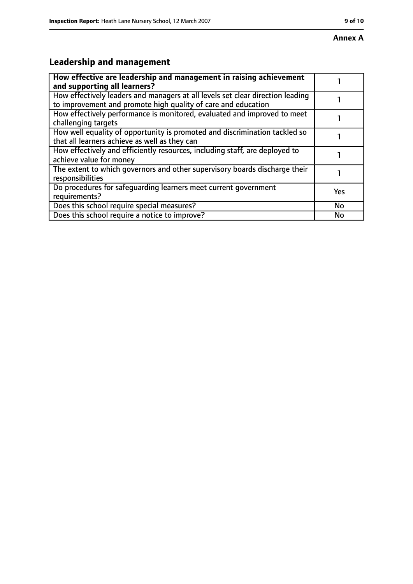# **Leadership and management**

| How effective are leadership and management in raising achievement<br>and supporting all learners?                                              |           |
|-------------------------------------------------------------------------------------------------------------------------------------------------|-----------|
| How effectively leaders and managers at all levels set clear direction leading<br>to improvement and promote high quality of care and education |           |
| How effectively performance is monitored, evaluated and improved to meet<br>challenging targets                                                 |           |
| How well equality of opportunity is promoted and discrimination tackled so<br>that all learners achieve as well as they can                     |           |
| How effectively and efficiently resources, including staff, are deployed to<br>achieve value for money                                          |           |
| The extent to which governors and other supervisory boards discharge their<br>responsibilities                                                  |           |
| Do procedures for safeguarding learners meet current government<br>requirements?                                                                | Yes       |
| Does this school require special measures?                                                                                                      | <b>No</b> |
| Does this school require a notice to improve?                                                                                                   | No        |